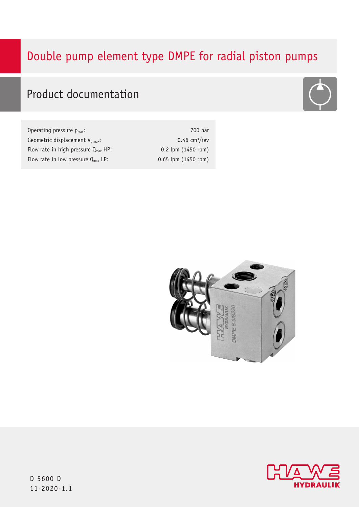# Double pump element type DMPE for radial piston pumps



# Product documentation

| Operating pressure $p_{max}$ :                  | 700 bar                     |
|-------------------------------------------------|-----------------------------|
| Geometric displacement $V_{q max}$ :            | $0.46$ cm <sup>3</sup> /rev |
| Flow rate in high pressure $Q_{\text{max}}$ HP: | $0.2$ lpm $(1450$ rpm)      |
| Flow rate in low pressure $Q_{\text{max}}$ LP:  | $0.65$ lpm $(1450$ rpm)     |





D 5600 D 11-2020-1.1 11-2020-1.1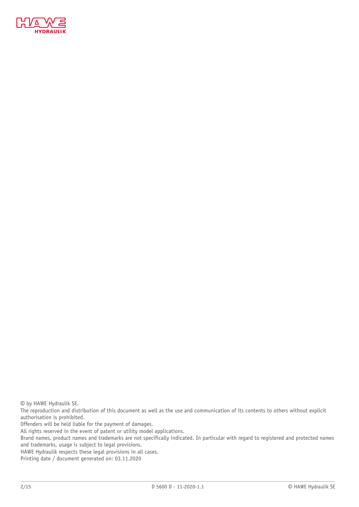

© by HAWE Hydraulik SE.

The reproduction and distribution of this document as well as the use and communication of its contents to others without explicit authorisation is prohibited.

Offenders will be held liable for the payment of damages.

All rights reserved in the event of patent or utility model applications.

Brand names, product names and trademarks are not specifically indicated. In particular with regard to registered and protected names and trademarks, usage is subject to legal provisions.

HAWE Hydraulik respects these legal provisions in all cases.

Printing date / document generated on: 03.11.2020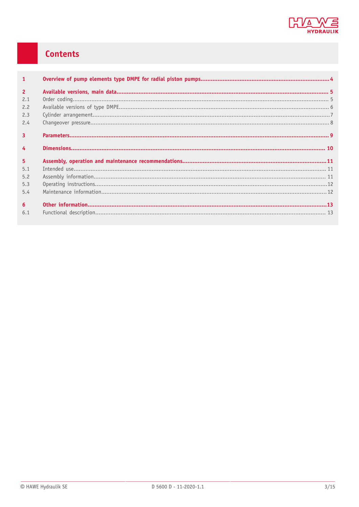

# Contents

| $\mathbf{1}$   |  |
|----------------|--|
| $\overline{2}$ |  |
| 2.1            |  |
| 2.2            |  |
| 2.3            |  |
| 2.4            |  |
| $\overline{3}$ |  |
| $\overline{4}$ |  |
| 5 <sup>1</sup> |  |
| 5.1            |  |
| 5.2            |  |
| 5.3            |  |
| 5.4            |  |
| 6              |  |
| 6.1            |  |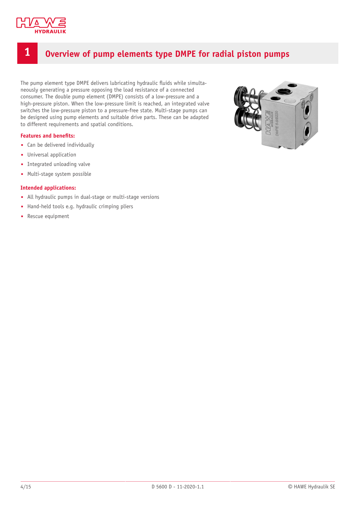

# <span id="page-3-0"></span>**1 Overview of pump elements type DMPE for radial piston pumps**

The pump element type DMPE delivers lubricating hydraulic fluids while simultaneously generating a pressure opposing the load resistance of a connected consumer. The double pump element (DMPE) consists of a low-pressure and a high-pressure piston. When the low-pressure limit is reached, an integrated valve switches the low-pressure piston to a pressure-free state. Multi-stage pumps can be designed using pump elements and suitable drive parts. These can be adapted to different requirements and spatial conditions.

### **Features** and **benefits:**

- Can be delivered individually
- Universal application
- Integrated unloading valve
- Multi-stage system possible

### **Intended applications:**

- All hydraulic pumps in dual-stage or multi-stage versions
- Hand-held tools e.g. hydraulic crimping pliers
- Rescue equipment

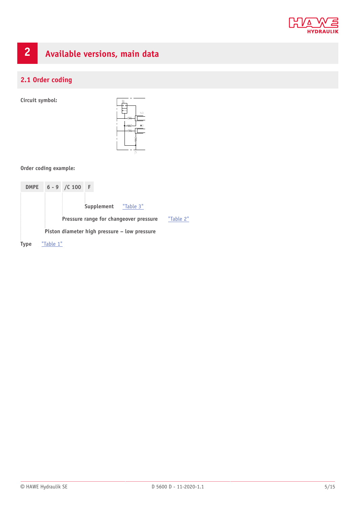

# <span id="page-4-0"></span>**2 Available versions, main data**

## <span id="page-4-1"></span>**2.1 Order coding**

**Circuit symbol:**



### **Order coding example:**

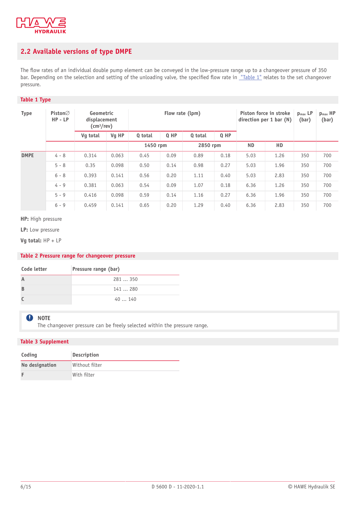

## <span id="page-5-0"></span>**2.2 Available versions of type DMPE**

The flow rates of an individual double pump element can be conveyed in the low-pressure range up to a changeover pressure of 350 bar. Depending on the selection and setting of the unloading valve, the specified flow rate in ["Table](#page-5-3) 1" relates to the set changeover pressure.

### <span id="page-5-3"></span>**Table 1 Type**

| <b>Type</b> | Piston $\varnothing$<br>$HP - LP$ | Geometric<br>displacement<br>$\text{(cm}^3\text{/rev)}$ |       | Flow rate (lpm) |        |          |      | Piston force in stroke<br>direction per 1 bar (N) |      | $p_{\text{max}}$ LP<br>(bar) | $p_{max}$ HP<br>(bar) |
|-------------|-----------------------------------|---------------------------------------------------------|-------|-----------------|--------|----------|------|---------------------------------------------------|------|------------------------------|-----------------------|
|             |                                   | Vq total                                                | Vg HP | Q total         | $Q$ HP | Q total  | Q HP |                                                   |      |                              |                       |
|             |                                   |                                                         |       | 1450 rpm        |        | 2850 rpm |      | <b>ND</b>                                         | HD   |                              |                       |
| <b>DMPE</b> | $4 - 8$                           | 0.314                                                   | 0.063 | 0.45            | 0.09   | 0.89     | 0.18 | 5.03                                              | 1.26 | 350                          | 700                   |
|             | $5 - 8$                           | 0.35                                                    | 0.098 | 0.50            | 0.14   | 0.98     | 0.27 | 5.03                                              | 1.96 | 350                          | 700                   |
|             | $6 - 8$                           | 0.393                                                   | 0.141 | 0.56            | 0.20   | 1.11     | 0.40 | 5.03                                              | 2.83 | 350                          | 700                   |
|             | $4 - 9$                           | 0.381                                                   | 0.063 | 0.54            | 0.09   | 1.07     | 0.18 | 6.36                                              | 1.26 | 350                          | 700                   |
|             | $5 - 9$                           | 0.416                                                   | 0.098 | 0.59            | 0.14   | 1.16     | 0.27 | 6.36                                              | 1.96 | 350                          | 700                   |
|             | $6 - 9$                           | 0.459                                                   | 0.141 | 0.65            | 0.20   | 1.29     | 0.40 | 6.36                                              | 2.83 | 350                          | 700                   |

**HP:** High pressure

**LP:** Low pressure

**Vg total:** HP + LP

### <span id="page-5-2"></span>**Table 2 Pressure range for changeover pressure**

| Code letter | Pressure range (bar) |
|-------------|----------------------|
|             | 281  350             |
| B           | 141280               |
|             | 40  140              |

### **A** NOTE

The changeover pressure can be freely selected within the pressure range.

### <span id="page-5-1"></span>**Table 3 Supplement**

| Coding         | <b>Description</b> |
|----------------|--------------------|
| No designation | Without filter     |
|                | With filter        |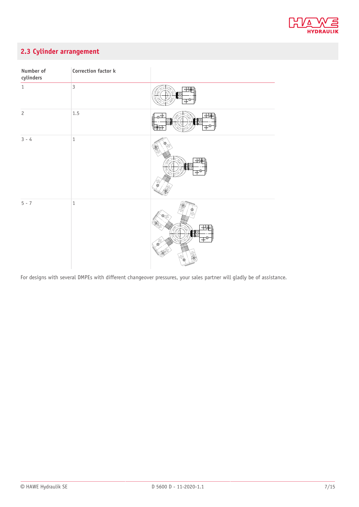

## <span id="page-6-0"></span>**2.3 Cylinder arrangement**

| Number of<br>cylinders | Correction factor k |                                                                                                     |
|------------------------|---------------------|-----------------------------------------------------------------------------------------------------|
| $1\,$                  | $\overline{3}$      | $\oplus$<br>$\overline{\oplus}$                                                                     |
| $\overline{c}$         | 1.5                 | $\oplus$<br>$\overline{\mathbf{e}^{\oplus}}$<br>ſ<br>$\mathbf{\Phi}^\mathbf{C}$<br>I <del>(4)</del> |
| $3 - 4$                | $\,1\,$             | $\oplus$<br>ÈM<br>$\oplus^\blacksquare$                                                             |
| $5 - 7$                | $\,1\,$             | !N<br>$\frac{1}{2}$<br><b>HIII</b><br>$\overline{\mathbb{P}}^{\bullet}$                             |

For designs with several DMPEs with different changeover pressures, your sales partner will gladly be of assistance.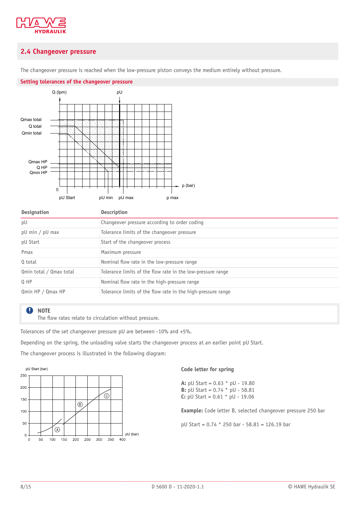

### <span id="page-7-0"></span>**2.4 Changeover pressure**

The changeover pressure is reached when the low-pressure piston conveys the medium entirely without pressure.



|  |  | Setting tolerances of the changeover pressure |  |
|--|--|-----------------------------------------------|--|
|  |  |                                               |  |

| <b>Designation</b>                | Description                                                  |
|-----------------------------------|--------------------------------------------------------------|
| pU                                | Changeover pressure according to order coding                |
| $pU \text{ min} / pU \text{ max}$ | Tolerance limits of the changeover pressure                  |
| pU Start                          | Start of the changeover process                              |
| Pmax                              | Maximum pressure                                             |
| Q total                           | Nominal flow rate in the low-pressure range                  |
| Qmin total / Qmax total           | Tolerance limits of the flow rate in the low-pressure range  |
| $Q$ HP                            | Nominal flow rate in the high-pressure range                 |
| Qmin HP / Qmax HP                 | Tolerance limits of the flow rate in the high-pressure range |

#### $\mathbf 0$ **NOTE**

The flow rates relate to circulation without pressure.

Tolerances of the set changeover pressure pU are between -10% and +5%.

Depending on the spring, the unloading valve starts the changeover process at an earlier point pU Start.

The changeover process is illustrated in the following diagram:



### **Code letter for spring**

**A:** pU Start = 0.63 \* pU - 19.80 **B:** pU Start = 0.74 \* pU - 58.81 **C:** pU Start =  $0.61 *$  pU - 19.06

**Example:** Code letter B, selected changeover pressure 250 bar

pU Start = 0.74 \* 250 bar - 58.81 = 126.19 bar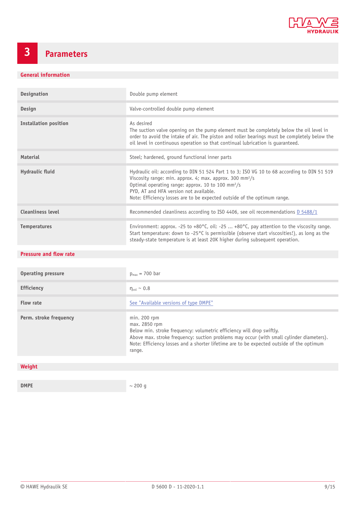

# <span id="page-8-0"></span>**3 Parameters**

### **General information**

| <b>Designation</b>           | Double pump element                                                                                                                                                                                                                                                                                                                                        |
|------------------------------|------------------------------------------------------------------------------------------------------------------------------------------------------------------------------------------------------------------------------------------------------------------------------------------------------------------------------------------------------------|
| Design                       | Valve-controlled double pump element                                                                                                                                                                                                                                                                                                                       |
| <b>Installation position</b> | As desired<br>The suction valve opening on the pump element must be completely below the oil level in<br>order to avoid the intake of air. The piston and roller bearings must be completely below the<br>oil level in continuous operation so that continual lubrication is guaranteed.                                                                   |
| <b>Material</b>              | Steel; hardened, ground functional inner parts                                                                                                                                                                                                                                                                                                             |
| Hydraulic fluid              | Hydraulic oil: according to DIN 51 524 Part 1 to 3; ISO VG 10 to 68 according to DIN 51 519<br>Viscosity range: min. approx. 4; max. approx. 300 mm <sup>2</sup> /s<br>Optimal operating range: approx. 10 to 100 mm <sup>2</sup> /s<br>PYD, AT and HFA version not available.<br>Note: Efficiency losses are to be expected outside of the optimum range. |
| <b>Cleanliness level</b>     | Recommended cleanliness according to ISO 4406, see oil recommendations D 5488/1                                                                                                                                                                                                                                                                            |
| <b>Temperatures</b>          | Environment: approx. -25 to +80 $^{\circ}$ C, oil: -25  +80 $^{\circ}$ C, pay attention to the viscosity range.<br>Start temperature: down to -25°C is permissible (observe start viscosities!), as long as the<br>steady-state temperature is at least 20K higher during subsequent operation.                                                            |

### **Pressure** and **flow** rate

| <b>Operating pressure</b> | $p_{max}$ = 700 bar                                                                                                                                                                                                                                                                                        |
|---------------------------|------------------------------------------------------------------------------------------------------------------------------------------------------------------------------------------------------------------------------------------------------------------------------------------------------------|
| <b>Efficiency</b>         | $\eta_{\text{vol}} \sim 0.8$                                                                                                                                                                                                                                                                               |
| Flow rate                 | See "Available versions of type DMPE"                                                                                                                                                                                                                                                                      |
| Perm. stroke frequency    | $min. 200$ rpm<br>max. 2850 rpm<br>Below min. stroke frequency: volumetric efficiency will drop swiftly.<br>Above max. stroke frequency: suction problems may occur (with small cylinder diameters).<br>Note: Efficiency losses and a shorter lifetime are to be expected outside of the optimum<br>range. |
|                           |                                                                                                                                                                                                                                                                                                            |
| Weight                    |                                                                                                                                                                                                                                                                                                            |
|                           |                                                                                                                                                                                                                                                                                                            |

**DMPE**  $\sim$  200 g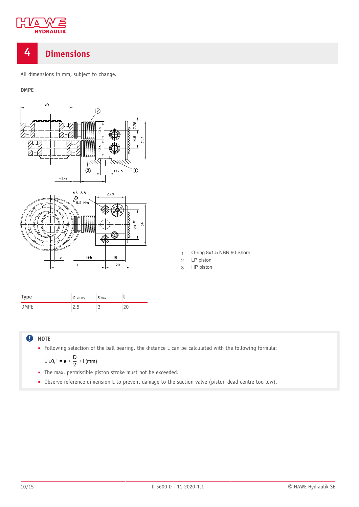

# <span id="page-9-0"></span>**4 Dimensions**

All dimensions in mm, subject to change.

### **DMPE**



#### **NOTE**  $\mathbf 0$

■ Following selection of the ball bearing, the distance L can be calculated with the following formula:

L ±0,1 = e + 
$$
\frac{D}{2}
$$
 + 1 (mm)

- The max. permissible piston stroke must not be exceeded.
- Observe reference dimension L to prevent damage to the suction valve (piston dead centre too low).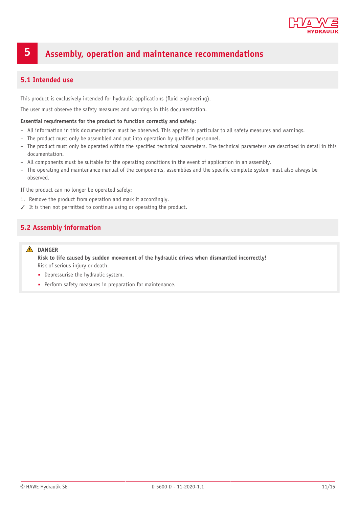

# <span id="page-10-0"></span>**5 Assembly, operation and maintenance recommendations**

### <span id="page-10-1"></span>**5.1 Intended use**

This product is exclusively intended for hydraulic applications (fluid engineering).

The user must observe the safety measures and warnings in this documentation.

### **Essential requirements for the product to function correctly and safely:**

- All information in this documentation must be observed. This applies in particular to all safety measures and warnings.
- The product must only be assembled and put into operation by qualified personnel.
- The product must only be operated within the specified technical parameters. The technical parameters are described in detail in this documentation.
- All components must be suitable for the operating conditions in the event of application in an assembly.
- The operating and maintenance manual of the components, assemblies and the specific complete system must also always be observed.

If the product can no longer be operated safely:

- 1. Remove the product from operation and mark it accordingly.
- <span id="page-10-2"></span>✓ It is then not permitted to continue using or operating the product.

### **5.2 Assembly information**

### **DANGER**

**Risk to life caused by sudden movement of the hydraulic drives when dismantled incorrectly!** Risk of serious injury or death.

- Depressurise the hydraulic system.
- Perform safety measures in preparation for maintenance.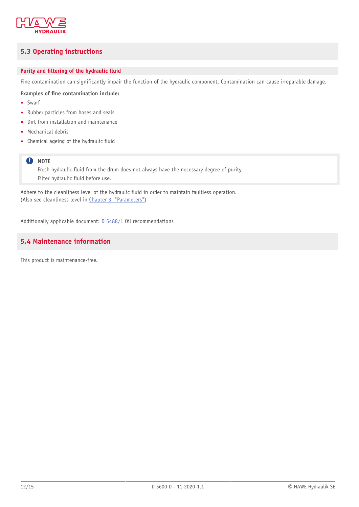

### <span id="page-11-0"></span>**5.3 Operating instructions**

### **Purity** and **filtering** of the hydraulic fluid

Fine contamination can significantly impair the function of the hydraulic component. Contamination can cause irreparable damage.

### **Examples of 'ne contamination include:**

- Swarf
- Rubber particles from hoses and seals
- Dirt from installation and maintenance
- Mechanical debris
- Chemical ageing of the hydraulic fluid

### **Q** NOTE

Fresh hydraulic fluid from the drum does not always have the necessary degree of purity. Filter hydraulic fluid before use.

Adhere to the cleanliness level of the hydraulic fluid in order to maintain faultless operation. (Also see cleanliness level in Chapter 3, ["Parameters"](#page-8-0))

<span id="page-11-1"></span>Additionally applicable document: [D 5488/1](http://downloads.hawe.com/5/4/D54881-en.pdf) Oil recommendations

### **5.4 Maintenance information**

This product is maintenance-free.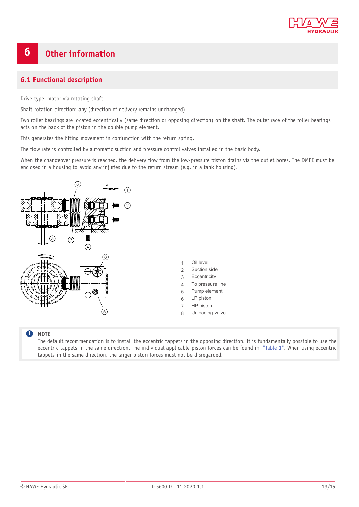

# <span id="page-12-0"></span>**6 Other information**

### <span id="page-12-1"></span>**6.1 Functional description**

Drive type: motor via rotating shaft

Shaft rotation direction: any (direction of delivery remains unchanged)

Two roller bearings are located eccentrically (same direction or opposing direction) on the shaft. The outer race of the roller bearings acts on the back of the piston in the double pump element.

This generates the lifting movement in conjunction with the return spring.

The flow rate is controlled by automatic suction and pressure control valves installed in the basic body.

When the changeover pressure is reached, the delivery flow from the low-pressure piston drains via the outlet bores. The DMPE must be enclosed in a housing to avoid any injuries due to the return stream (e.g. in a tank housing).



- 1 Oil level
- 2 Suction side
- 3 Eccentricity
- 4 To pressure line
- 5 Pump element
- 
- 
- 8 Unloading valve

### **A** NOTE

The default recommendation is to install the eccentric tappets in the opposing direction. It is fundamentally possible to use the eccentric tappets in the same direction. The individual applicable piston forces can be found in ["Table](#page-5-3) 1". When using eccentric tappets in the same direction, the larger piston forces must not be disregarded.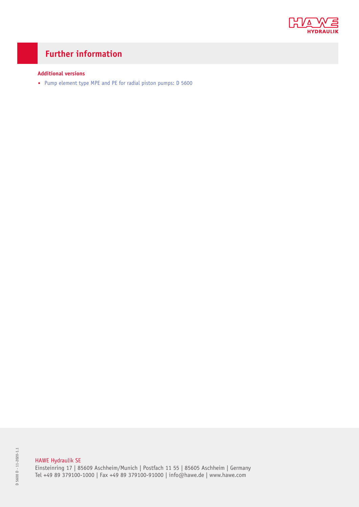

# **Further information**

### **Additional versions**

■ Pump [element](http://downloads.hawe.com/5/6/D5600-en.pdf) type MPE and PE for radial piston pumps: D 5600

### HAWE Hydraulik SE

Einsteinring 17 | 85609 Aschheim/Munich | Postfach 11 55 | 85605 Aschheim | Germany Tel +49 89 379100-1000 | Fax +49 89 379100-91000 | info@hawe.de | www.hawe.com